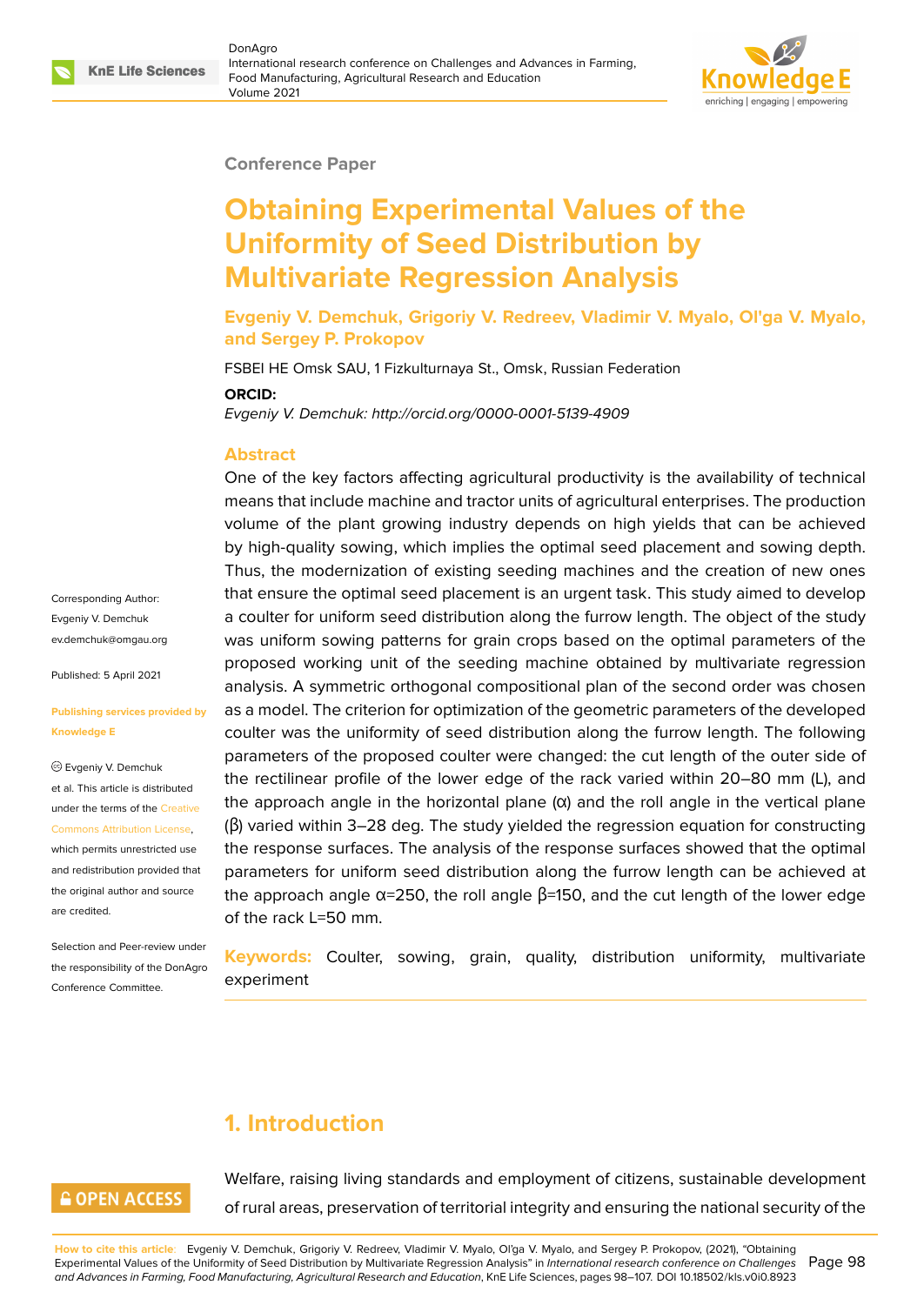

#### **Conference Paper**

# **Obtaining Experimental Values of the Uniformity of Seed Distribution by Multivariate Regression Analysis**

**Evgeniy V. Demchuk, Grigoriy V. Redreev, Vladimir V. Myalo, Ol'ga V. Myalo, and Sergey P. Prokopov**

FSBEI HE Omsk SAU, 1 Fizkulturnaya St., Omsk, Russian Federation

#### **ORCID:**

*Evgeniy V. Demchuk: http://orcid.org/0000-0001-5139-4909*

#### **Abstract**

One of the key factors affecting agricultural productivity is the availability of technical means that include machine and tractor units of agricultural enterprises. The production volume of the plant growing industry depends on high yields that can be achieved by high-quality sowing, which implies the optimal seed placement and sowing depth. Thus, the modernization of existing seeding machines and the creation of new ones that ensure the optimal seed placement is an urgent task. This study aimed to develop a coulter for uniform seed distribution along the furrow length. The object of the study was uniform sowing patterns for grain crops based on the optimal parameters of the proposed working unit of the seeding machine obtained by multivariate regression analysis. A symmetric orthogonal compositional plan of the second order was chosen as a model. The criterion for optimization of the geometric parameters of the developed coulter was the uniformity of seed distribution along the furrow length. The following parameters of the proposed coulter were changed: the cut length of the outer side of the rectilinear profile of the lower edge of the rack varied within 20–80 mm (L), and the approach angle in the horizontal plane  $(\alpha)$  and the roll angle in the vertical plane (β) varied within 3–28 deg. The study yielded the regression equation for constructing the response surfaces. The analysis of the response surfaces showed that the optimal parameters for uniform seed distribution along the furrow length can be achieved at the approach angle  $α=250$ , the roll angle  $β=150$ , and the cut length of the lower edge of the rack L=50 mm.

**Keywords:** Coulter, sowing, grain, quality, distribution uniformity, multivariate experiment

## **1. Introduction**

#### **GOPEN ACCESS**

Corresponding Author: Evgeniy V. Demchuk ev.demchuk@omgau.org

Published: 5 April 2021

Evgeniy V. Demchuk et al. This article is distributed under the terms of the Creative Commons Attribution License, which permits unrestricted use and redistribution provided that the original author and [source](https://creativecommons.org/licenses/by/4.0/)

**Knowledge E**

[are credited.](https://creativecommons.org/licenses/by/4.0/)

**[Publishing services prov](mailto:ev.demchuk@omgau.org)ided by**

Selection and Peer-review under the responsibility of the DonAgro Conference Committee.

> Welfare, raising living standards and employment of citizens, sustainable development of rural areas, preservation of territorial integrity and ensuring the national security of the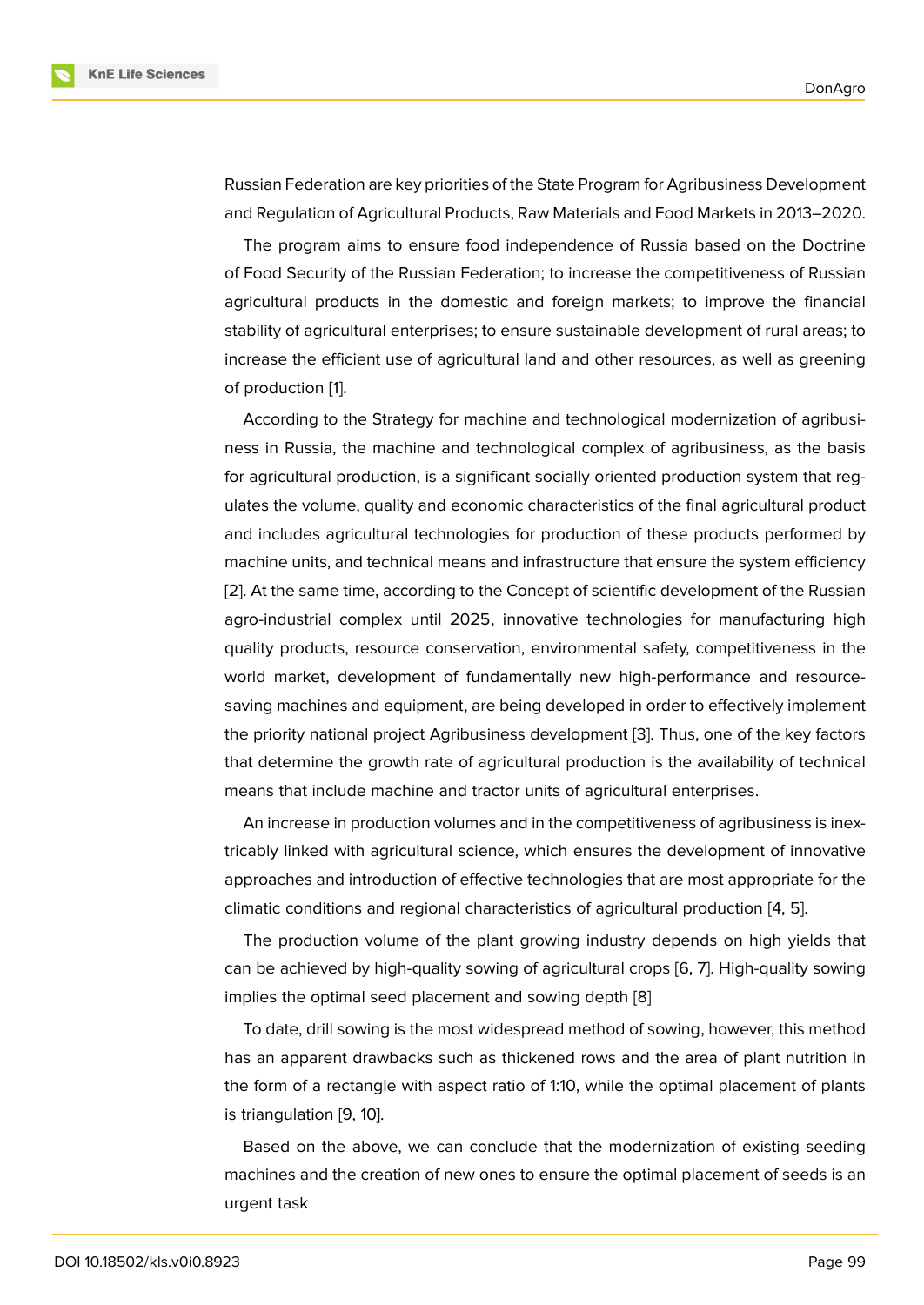Russian Federation are key priorities of the State Program for Agribusiness Development and Regulation of Agricultural Products, Raw Materials and Food Markets in 2013–2020.

The program aims to ensure food independence of Russia based on the Doctrine of Food Security of the Russian Federation; to increase the competitiveness of Russian agricultural products in the domestic and foreign markets; to improve the financial stability of agricultural enterprises; to ensure sustainable development of rural areas; to increase the efficient use of agricultural land and other resources, as well as greening of production [1].

According to the Strategy for machine and technological modernization of agribusiness in Russia, the machine and technological complex of agribusiness, as the basis for agricultural [p](#page-8-0)roduction, is a significant socially oriented production system that regulates the volume, quality and economic characteristics of the final agricultural product and includes agricultural technologies for production of these products performed by machine units, and technical means and infrastructure that ensure the system efficiency [2]. At the same time, according to the Concept of scientific development of the Russian agro-industrial complex until 2025, innovative technologies for manufacturing high quality products, resource conservation, environmental safety, competitiveness in the [wo](#page-8-1)rld market, development of fundamentally new high-performance and resourcesaving machines and equipment, are being developed in order to effectively implement the priority national project Agribusiness development [3]. Thus, one of the key factors that determine the growth rate of agricultural production is the availability of technical means that include machine and tractor units of agricultural enterprises.

An increase in production volumes and in the competi[tiv](#page-8-2)eness of agribusiness is inextricably linked with agricultural science, which ensures the development of innovative approaches and introduction of effective technologies that are most appropriate for the climatic conditions and regional characteristics of agricultural production [4, 5].

The production volume of the plant growing industry depends on high yields that can be achieved by high-quality sowing of agricultural crops [6, 7]. High-q[ua](#page-9-0)[lity](#page-9-1) sowing implies the optimal seed placement and sowing depth [8]

To date, drill sowing is the most widespread method of sowing, however, this method has an apparent drawbacks such as thickened rows and th[e a](#page-9-2)[re](#page-9-3)a of plant nutrition in the form of a rectangle with aspect ratio of 1:10, while t[he](#page-9-4) optimal placement of plants is triangulation [9, 10].

Based on the above, we can conclude that the modernization of existing seeding machines and the creation of new ones to ensure the optimal placement of seeds is an urgent task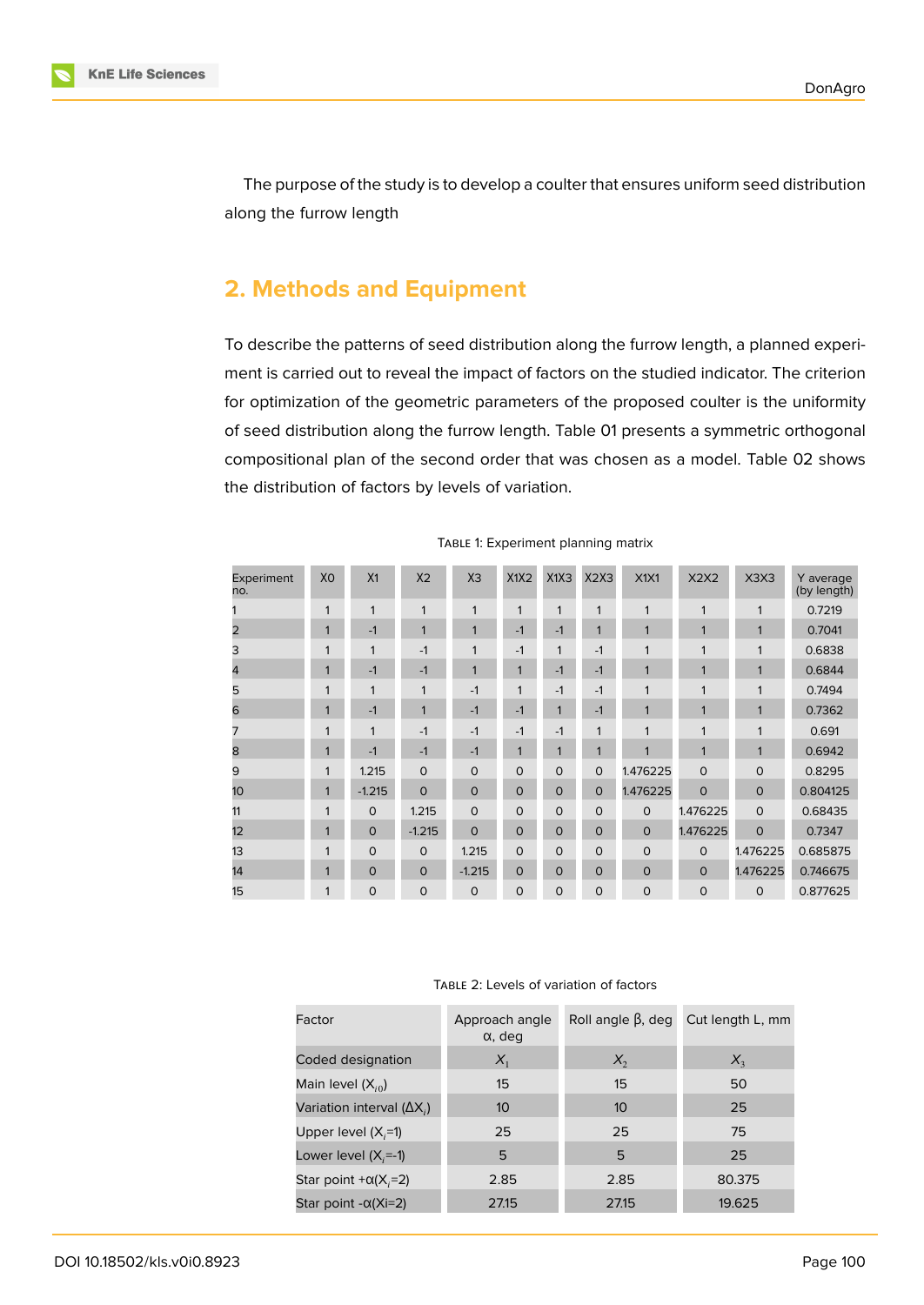

The purpose of the study is to develop a coulter that ensures uniform seed distribution along the furrow length

### **2. Methods and Equipment**

To describe the patterns of seed distribution along the furrow length, a planned experiment is carried out to reveal the impact of factors on the studied indicator. The criterion for optimization of the geometric parameters of the proposed coulter is the uniformity of seed distribution along the furrow length. Table 01 presents a symmetric orthogonal compositional plan of the second order that was chosen as a model. Table 02 shows the distribution of factors by levels of variation.

| Experiment<br>no. | XO           | X <sub>1</sub> | X <sub>2</sub> | X <sub>3</sub> | X1X2         | X1X3        | X2X3         | X1X1           | X2X2         | X <sub>3</sub> X <sub>3</sub> | Y average<br>(by length) |
|-------------------|--------------|----------------|----------------|----------------|--------------|-------------|--------------|----------------|--------------|-------------------------------|--------------------------|
|                   | 1            | $\mathbf{1}$   | $\mathbf{1}$   | 1              | 1            | 1           | $\mathbf{1}$ | 1              | 1            | 1                             | 0.7219                   |
| 2                 | 1            | $-1$           | $\mathbf{1}$   | $\mathbf{1}$   | $-1$         | $-1$        | 1            | 4              | 1            | $\mathbf{1}$                  | 0.7041                   |
| 3                 | 1            | $\mathbf{1}$   | $-1$           | 1              | $-1$         | 1           | $-1$         | 1              | 1            | $\mathbf{1}$                  | 0.6838                   |
| 4                 | $\mathbf{1}$ | $-1$           | $-1$           | $\mathbf{1}$   | $\mathbf{1}$ | $-1$        | $-1$         | 1              | 1            | $\mathbf{1}$                  | 0.6844                   |
| 5                 | 1            | $\mathbf{1}$   | $\mathbf{1}$   | $-1$           | 1            | $-1$        | $-1$         | 1              | 1            | $\mathbf{1}$                  | 0.7494                   |
| 6                 | 1            | $-1$           | $\mathbf{1}$   | $-1$           | $-1$         | 1           | $-1$         | 1              | 1            | $\mathbf{1}$                  | 0.7362                   |
| 7                 | 1            | $\mathbf{1}$   | $-1$           | $-1$           | $-1$         | $-1$        | $\mathbf{1}$ | $\overline{ }$ | 1            | $\mathbf 1$                   | 0.691                    |
| 8                 | 1            | $-1$           | $-1$           | $-1$           | 1            | 1           | $\mathbf{1}$ | 1              | $\mathbf{1}$ | $\mathbf{1}$                  | 0.6942                   |
| 9                 | 1            | 1.215          | $\Omega$       | $\Omega$       | $\Omega$     | $\Omega$    | 0            | 1.476225       | $\mathbf 0$  | $\Omega$                      | 0.8295                   |
| 10                | 1            | $-1.215$       | $\Omega$       | $\Omega$       | $\mathbf 0$  | $\Omega$    | $\Omega$     | 1.476225       | $\Omega$     | $\Omega$                      | 0.804125                 |
| 11                | 1            | $\Omega$       | 1.215          | $\Omega$       | $\Omega$     | $\Omega$    | 0            | $\Omega$       | 1.476225     | $\Omega$                      | 0.68435                  |
| 12                | 1            | $\circ$        | $-1.215$       | $\Omega$       | $\circ$      | $\mathbf 0$ | 0            | $\circ$        | 1.476225     | $\Omega$                      | 0.7347                   |
| 13                | 1            | $\Omega$       | $\Omega$       | 1.215          | $\Omega$     | $\Omega$    | 0            | $\circ$        | $\circ$      | 1.476225                      | 0.685875                 |
| 14                | 1            | $\Omega$       | $\Omega$       | $-1.215$       | $\Omega$     | $\Omega$    | 0            | $\Omega$       | $\Omega$     | 1.476225                      | 0.746675                 |
| 15                | 1            | $\mathbf 0$    | $\overline{O}$ | $\circ$        | $\circ$      | $\Omega$    | 0            | $\Omega$       | $\circ$      | 0                             | 0.877625                 |

TABLE 1: Experiment planning matrix

#### TABLE 2: Levels of variation of factors

| Factor                            | Approach angle<br>$\alpha$ , deg | Roll angle $\beta$ , deg | Cut length L, mm |  |
|-----------------------------------|----------------------------------|--------------------------|------------------|--|
| Coded designation                 | $X_1$                            | $X_{2}$                  | $X_{3}$          |  |
| Main level $(X_{i0})$             | 15                               | 15                       | 50               |  |
| Variation interval $(\Delta X_i)$ | 10                               | 10                       | 25               |  |
| Upper level $(X,=1)$              | 25                               | 25                       | 75               |  |
| Lower level $(X_i=1)$             | 5                                | 5                        | 25               |  |
| Star point $+\alpha(X_i=2)$       | 2.85                             | 2.85                     | 80.375           |  |
| Star point $-\alpha(X=2)$         | 27.15                            | 27.15                    | 19.625           |  |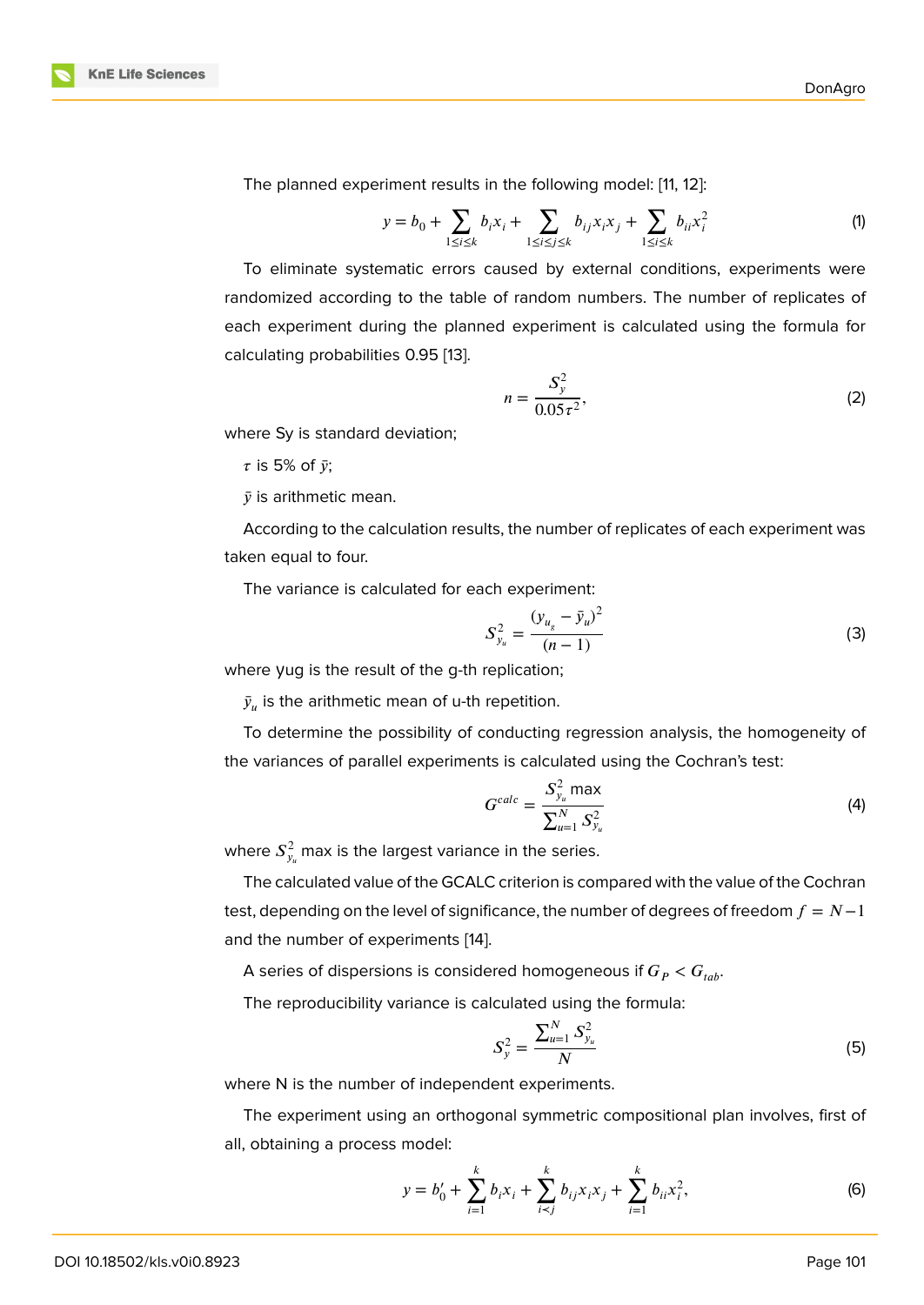The planned experiment results in the following model: [11, 12]:

$$
y = b_0 + \sum_{1 \le i \le k} b_i x_i + \sum_{1 \le i \le j \le k} b_{ij} x_i x_j + \sum_{1 \le i \le k} b_{ii} x_i^2 \tag{1}
$$

To eliminate systematic errors caused by external co[nd](#page-9-5)i[tio](#page-9-6)ns, experiments were randomized according to the table of random numbers. The number of replicates of each experiment during the planned experiment is calculated using the formula for calculating probabilities 0.95 [13].

$$
n = \frac{S_y^2}{0.05\tau^2},
$$
 (2)

where Sy is standard deviatio[n;](#page-9-7)

 $\tau$  is 5% of  $\bar{y}$ ;

 $\bar{v}$  is arithmetic mean.

According to the calculation results, the number of replicates of each experiment was taken equal to four.

The variance is calculated for each experiment:

$$
S_{y_u}^2 = \frac{(y_{u_g} - \bar{y}_u)^2}{(n-1)}
$$
(3)

where yug is the result of the g-th replication;

 $\bar{y}_u$  is the arithmetic mean of u-th repetition.

To determine the possibility of conducting regression analysis, the homogeneity of the variances of parallel experiments is calculated using the Cochran's test:

$$
G^{calc} = \frac{S_{y_u}^2 \max}{\sum_{u=1}^N S_{y_u}^2}
$$
 (4)

where  $S_{y_u}^2$  max is the largest variance in the series.

The calculated value of the GCALC criterion is compared with the value of the Cochran test, depending on the level of significance, the number of degrees of freedom  $f = N-1$ and the number of experiments [14].

A series of dispersions is considered homogeneous if  $G_P < G_{tab}$ .

The reproducibility variance is [ca](#page-9-8)lculated using the formula:

$$
S_y^2 = \frac{\sum_{u=1}^N S_{y_u}^2}{N} \tag{5}
$$

where N is the number of independent experiments.

The experiment using an orthogonal symmetric compositional plan involves, first of all, obtaining a process model:

$$
y = b'_0 + \sum_{i=1}^k b_i x_i + \sum_{i < j}^k b_{ij} x_i x_j + \sum_{i=1}^k b_{ii} x_i^2,\tag{6}
$$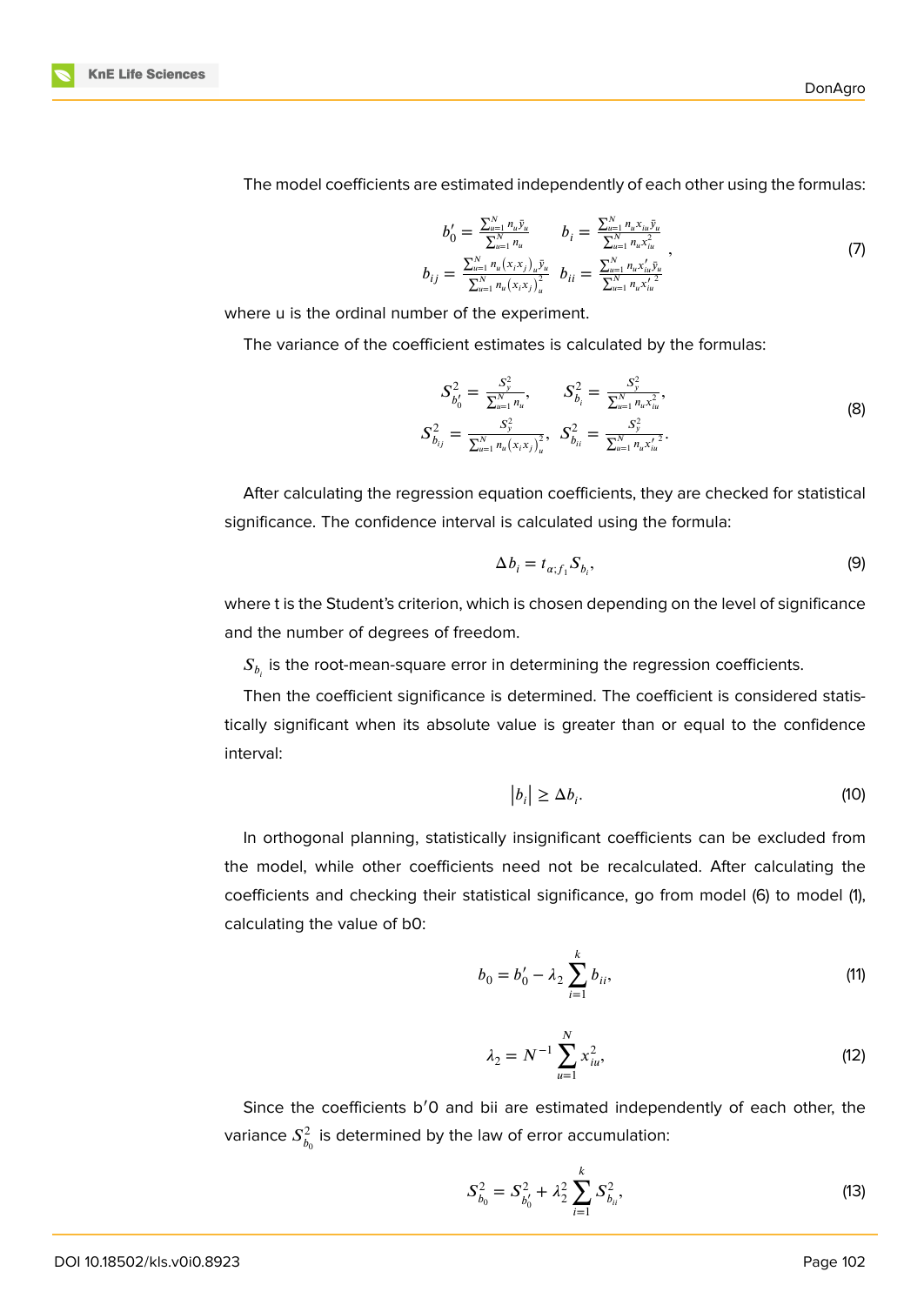



The model coefficients are estimated independently of each other using the formulas:

$$
b'_{0} = \frac{\sum_{u=1}^{N} n_{u} \bar{y}_{u}}{\sum_{u=1}^{N} n_{u}} \qquad b_{i} = \frac{\sum_{u=1}^{N} n_{u} x_{iu} \bar{y}_{u}}{\sum_{u=1}^{N} n_{u} x_{iu}^{2}} b_{ij} = \frac{\sum_{u=1}^{N} n_{u} (x_{i} x_{j})_{u} \bar{y}_{u}}{\sum_{u=1}^{N} n_{u} (x_{i} x_{j})_{u}^{2}} \qquad b_{ii} = \frac{\sum_{u=1}^{N} n_{u} x_{iu}^{2} \bar{y}_{u}}{\sum_{u=1}^{N} n_{u} x_{iu}^{2}}
$$
\n
$$
(7)
$$

where u is the ordinal number of the experiment.

The variance of the coefficient estimates is calculated by the formulas:

$$
S_{b'_0}^2 = \frac{S_y^2}{\sum_{u=1}^N n_u}, \qquad S_{b_i}^2 = \frac{S_y^2}{\sum_{u=1}^N n_u x_{iu}^2},
$$
  
\n
$$
S_{b_{ij}}^2 = \frac{S_y^2}{\sum_{u=1}^N n_u (x_i x_j)_u^2}, \quad S_{b_{ii}}^2 = \frac{S_y^2}{\sum_{u=1}^N n_u x_{iu}^2}.
$$
\n(8)

After calculating the regression equation coefficients, they are checked for statistical significance. The confidence interval is calculated using the formula:

$$
\Delta b_i = t_{\alpha;f_1} S_{b_i},\tag{9}
$$

where t is the Student's criterion, which is chosen depending on the level of significance and the number of degrees of freedom.

 $\mathcal{S}_{b_i}$  is the root-mean-square error in determining the regression coefficients.

Then the coefficient significance is determined. The coefficient is considered statistically significant when its absolute value is greater than or equal to the confidence interval:

$$
|b_i| \ge \Delta b_i. \tag{10}
$$

In orthogonal planning, statistically insignificant coefficients can be excluded from the model, while other coefficients need not be recalculated. After calculating the coefficients and checking their statistical significance, go from model (6) to model (1), calculating the value of b0:

$$
b_0 = b'_0 - \lambda_2 \sum_{i=1}^k b_{ii},
$$
 (11)

$$
\lambda_2 = N^{-1} \sum_{u=1}^{N} x_{iu}^2,
$$
 (12)

Since the coefficients b′0 and bii are estimated independently of each other, the variance  $S_h^2$  $\frac{d^2}{b_0}$  is determined by the law of error accumulation:

$$
S_{b_0}^2 = S_{b'_0}^2 + \lambda_2^2 \sum_{i=1}^k S_{b_{ii}}^2,
$$
 (13)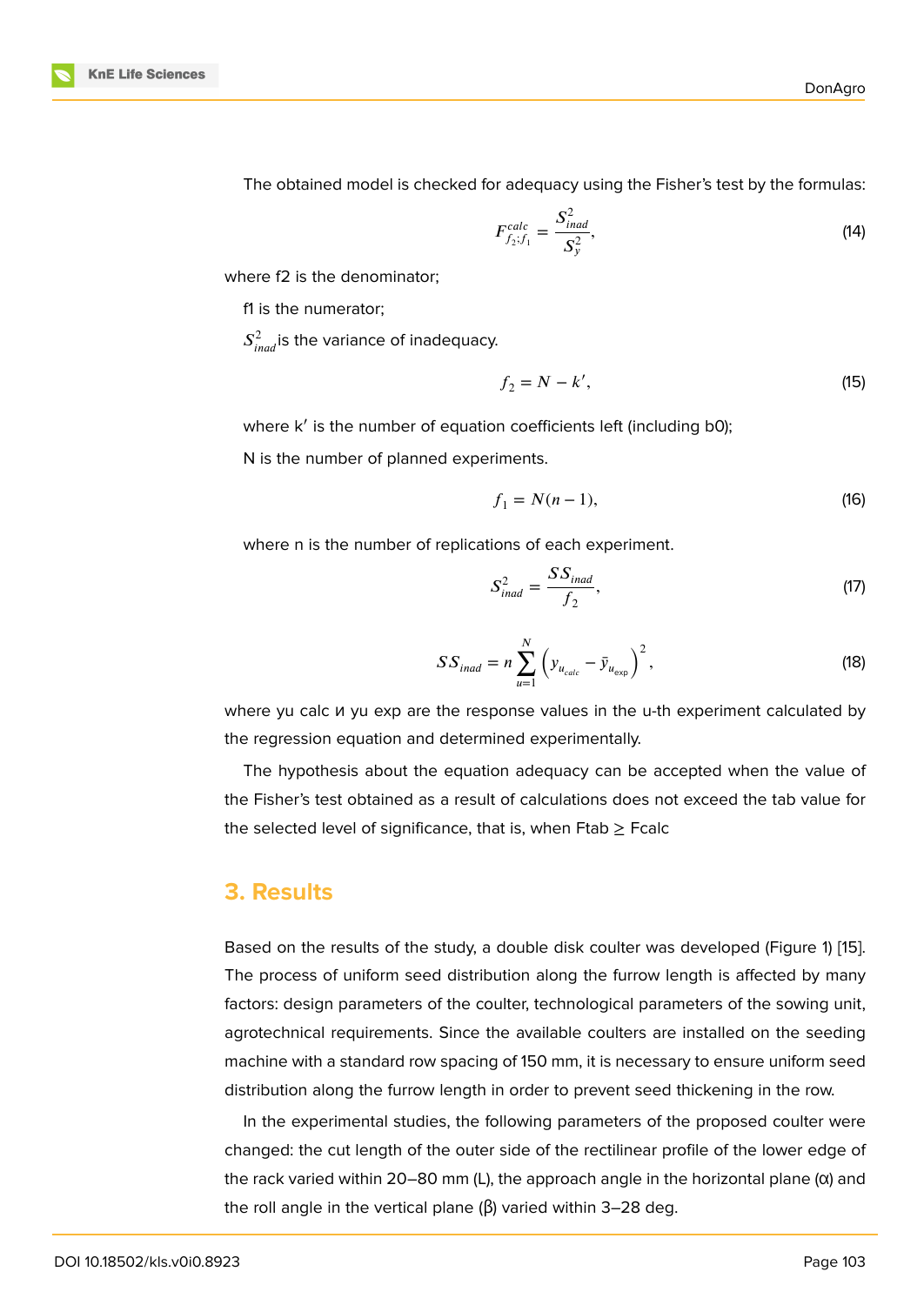The obtained model is checked for adequacy using the Fisher's test by the formulas:

$$
F_{f_2;f_1}^{calc} = \frac{S_{inad}^2}{S_y^2},
$$
\n(14)

where f2 is the denominator;

f1 is the numerator;

 $S^2_{inad}$ is the variance of inadequacy.

$$
f_2 = N - k',\tag{15}
$$

where k' is the number of equation coefficients left (including b0);

N is the number of planned experiments.

$$
f_1 = N(n-1),
$$
 (16)

where n is the number of replications of each experiment.

$$
S_{inad}^2 = \frac{SS_{inad}}{f_2},\tag{17}
$$

$$
SS_{inad} = n \sum_{u=1}^{N} \left( y_{u_{calc}} - \bar{y}_{u_{exp}} \right)^2,
$$
 (18)

where yu calc и yu exp are the response values in the u-th experiment calculated by the regression equation and determined experimentally.

The hypothesis about the equation adequacy can be accepted when the value of the Fisher's test obtained as a result of calculations does not exceed the tab value for the selected level of significance, that is, when  $F$ tab  $\geq$  Fcalc

#### **3. Results**

Based on the results of the study, a double disk coulter was developed (Figure 1) [15]. The process of uniform seed distribution along the furrow length is affected by many factors: design parameters of the coulter, technological parameters of the sowing unit, agrotechnical requirements. Since the available coulters are installed on the s[ee](#page-6-0)[ding](#page-9-9) machine with a standard row spacing of 150 mm, it is necessary to ensure uniform seed distribution along the furrow length in order to prevent seed thickening in the row.

In the experimental studies, the following parameters of the proposed coulter were changed: the cut length of the outer side of the rectilinear profile of the lower edge of the rack varied within 20–80 mm (L), the approach angle in the horizontal plane  $(\alpha)$  and the roll angle in the vertical plane ( $\beta$ ) varied within 3–28 deg.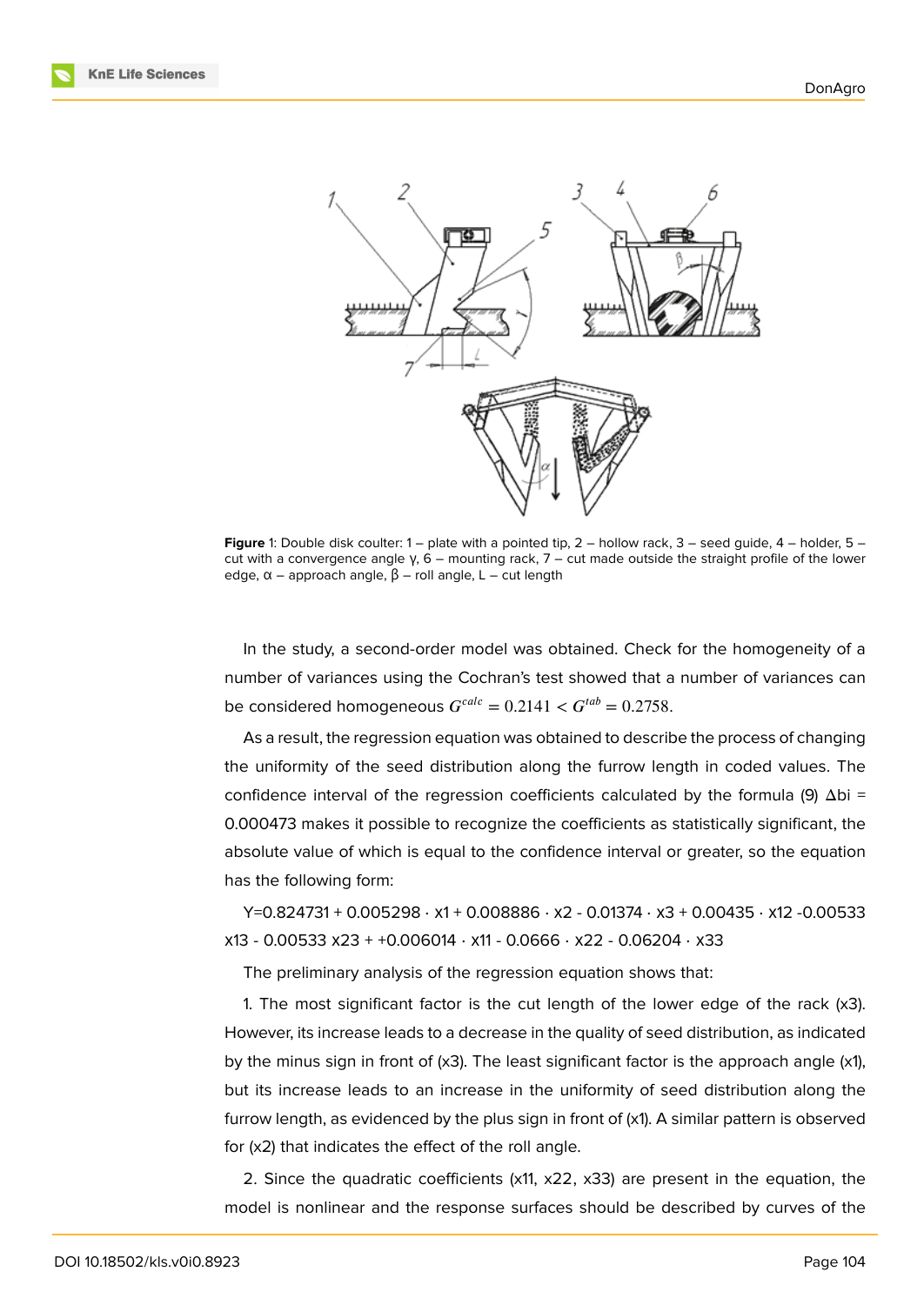

<span id="page-6-0"></span>**Figure** 1: Double disk coulter: 1 – plate with a pointed tip, 2 – hollow rack, 3 – seed guide, 4 – holder, 5 – cut with a convergence angle γ, 6 – mounting rack, 7 – cut made outside the straight profile of the lower edge,  $α$  – approach angle,  $β$  – roll angle,  $L$  – cut length

In the study, a second-order model was obtained. Check for the homogeneity of a number of variances using the Cochran's test showed that a number of variances can be considered homogeneous  $G^{calc} = 0.2141 < G^{tab} = 0.2758$ .

As a result, the regression equation was obtained to describe the process of changing the uniformity of the seed distribution along the furrow length in coded values. The confidence interval of the regression coefficients calculated by the formula (9)  $Δbi =$ 0.000473 makes it possible to recognize the coefficients as statistically significant, the absolute value of which is equal to the confidence interval or greater, so the equation has the following form:

Y=0.824731 + 0.005298 ⋅ х1 + 0.008886 ⋅ х2 - 0.01374 ⋅ х3 + 0.00435 ⋅ х12 -0.00533 х13 - 0.00533 х23 + +0.006014 ⋅ х11 - 0.0666 ⋅ х22 - 0.06204 ⋅ х33

The preliminary analysis of the regression equation shows that:

1. The most significant factor is the cut length of the lower edge of the rack (x3). However, its increase leads to a decrease in the quality of seed distribution, as indicated by the minus sign in front of (x3). The least significant factor is the approach angle (x1), but its increase leads to an increase in the uniformity of seed distribution along the furrow length, as evidenced by the plus sign in front of (x1). A similar pattern is observed for (x2) that indicates the effect of the roll angle.

2. Since the quadratic coefficients (x11, x22, x33) are present in the equation, the model is nonlinear and the response surfaces should be described by curves of the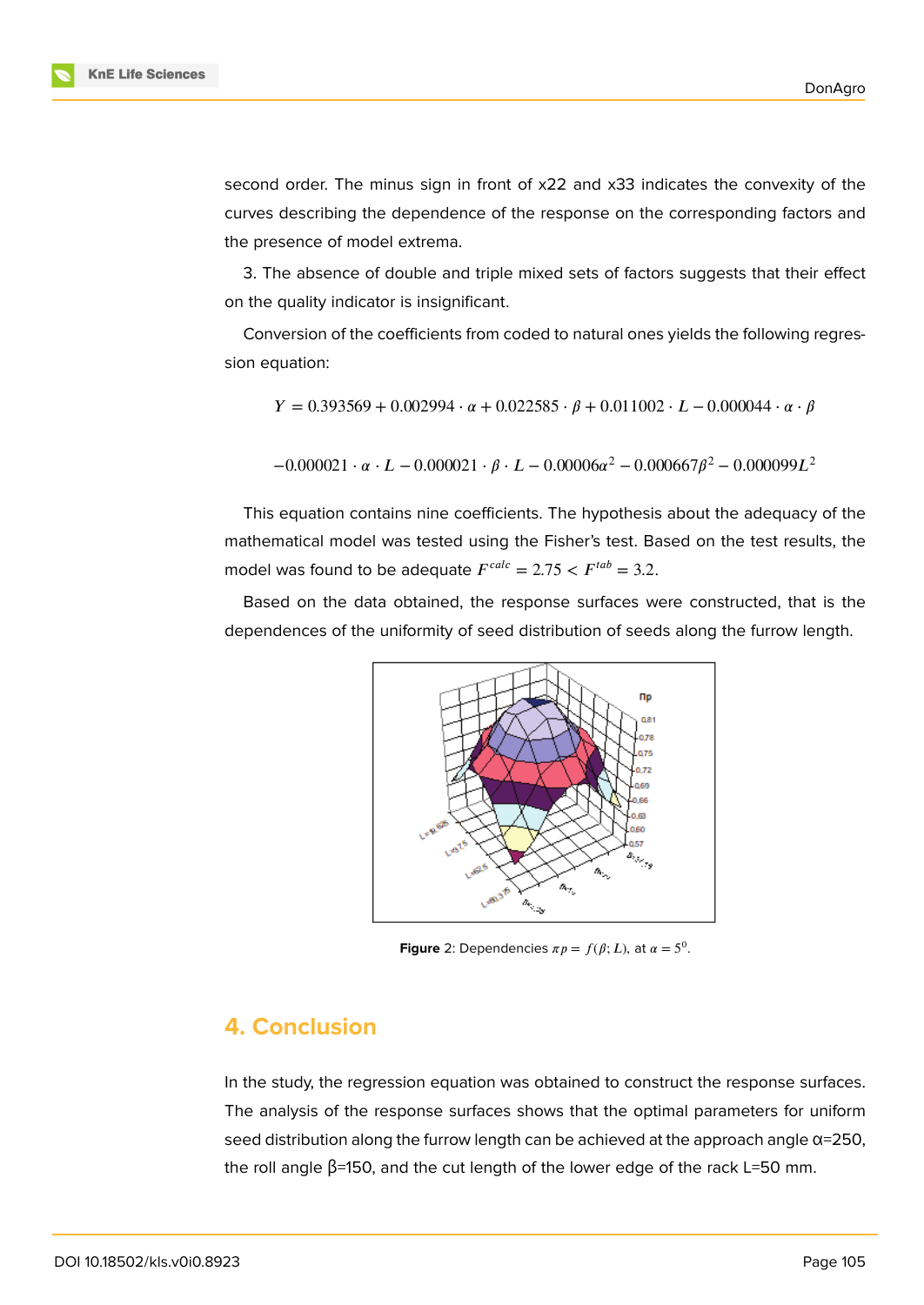second order. The minus sign in front of x22 and x33 indicates the convexity of the curves describing the dependence of the response on the corresponding factors and the presence of model extrema.

3. The absence of double and triple mixed sets of factors suggests that their effect on the quality indicator is insignificant.

Conversion of the coefficients from coded to natural ones yields the following regression equation:

$$
Y = 0.393569 + 0.002994 \cdot \alpha + 0.022585 \cdot \beta + 0.011002 \cdot L - 0.000044 \cdot \alpha \cdot \beta
$$

 $-0.000021 \cdot \alpha \cdot L - 0.000021 \cdot \beta \cdot L - 0.00006\alpha^2 - 0.000667\beta^2 - 0.000099L^2$ 

This equation contains nine coefficients. The hypothesis about the adequacy of the mathematical model was tested using the Fisher's test. Based on the test results, the model was found to be adequate  $F^{calc} = 2.75 < F^{tab} = 3.2$ .

Based on the data obtained, the response surfaces were constructed, that is the dependences of the uniformity of seed distribution of seeds along the furrow length.



**Figure** 2: Dependencies  $\pi p = f(\beta; L)$ , at  $\alpha = 5^0$ .

#### **4. Conclusion**

In the study, the regression equation was obtained to construct the response surfaces. The analysis of the response surfaces shows that the optimal parameters for uniform seed distribution along the furrow length can be achieved at the approach angle α=250, the roll angle  $\beta$ =150, and the cut length of the lower edge of the rack L=50 mm.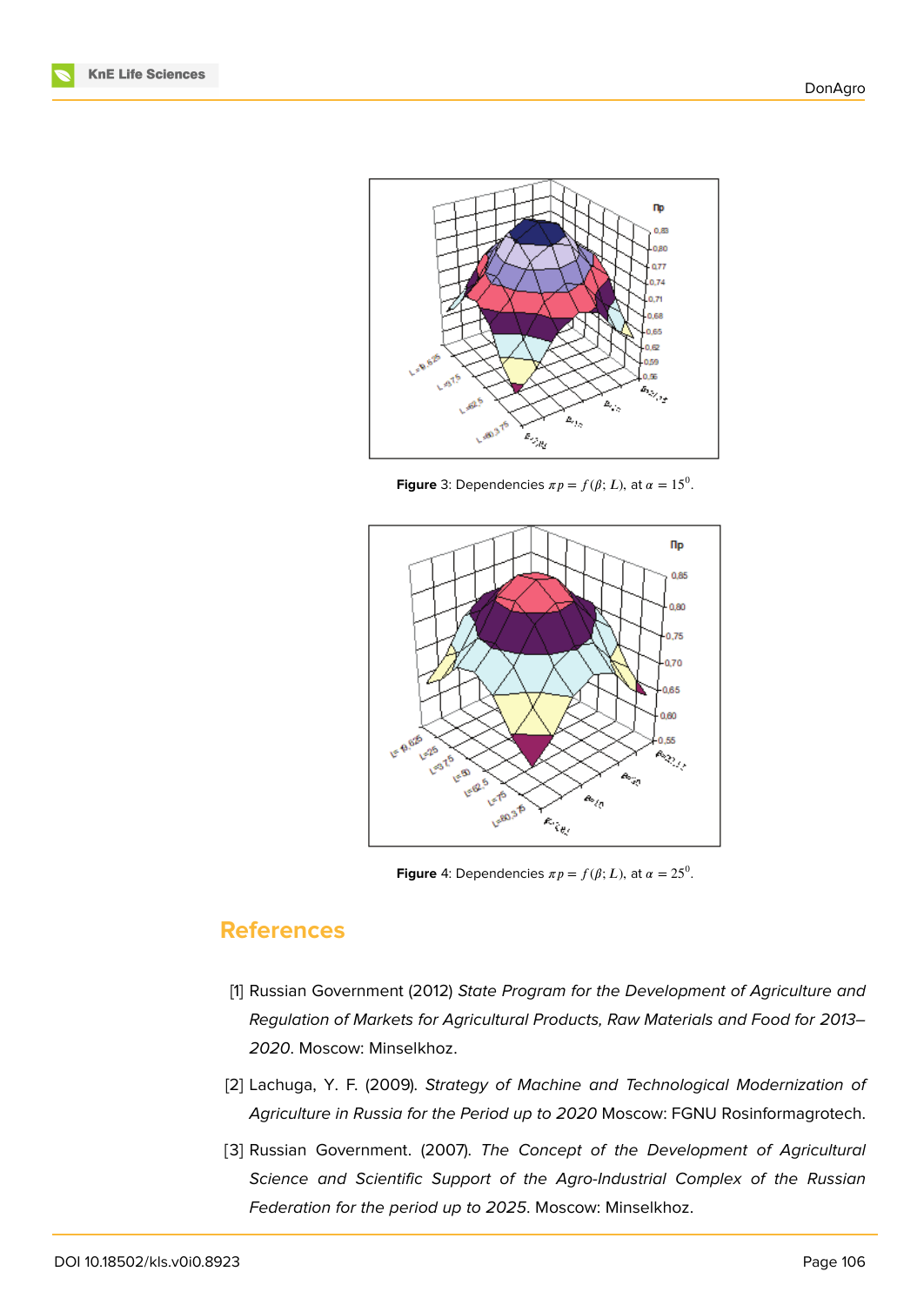



**Figure** 3: Dependencies  $\pi p = f(\beta; L)$ , at  $\alpha = 15^0$ .



**Figure** 4: Dependencies  $\pi p = f(\beta; L)$ , at  $\alpha = 25^0$ .

### **References**

- <span id="page-8-0"></span>[1] Russian Government (2012) *State Program for the Development of Agriculture and Regulation of Markets for Agricultural Products, Raw Materials and Food for 2013– 2020*. Moscow: Minselkhoz.
- <span id="page-8-1"></span>[2] Lachuga, Y. F. (2009). *Strategy of Machine and Technological Modernization of Agriculture in Russia for the Period up to 2020* Moscow: FGNU Rosinformagrotech.
- <span id="page-8-2"></span>[3] Russian Government. (2007). *The Concept of the Development of Agricultural Science and Scientific Support of the Agro-Industrial Complex of the Russian Federation for the period up to 2025*. Moscow: Minselkhoz.